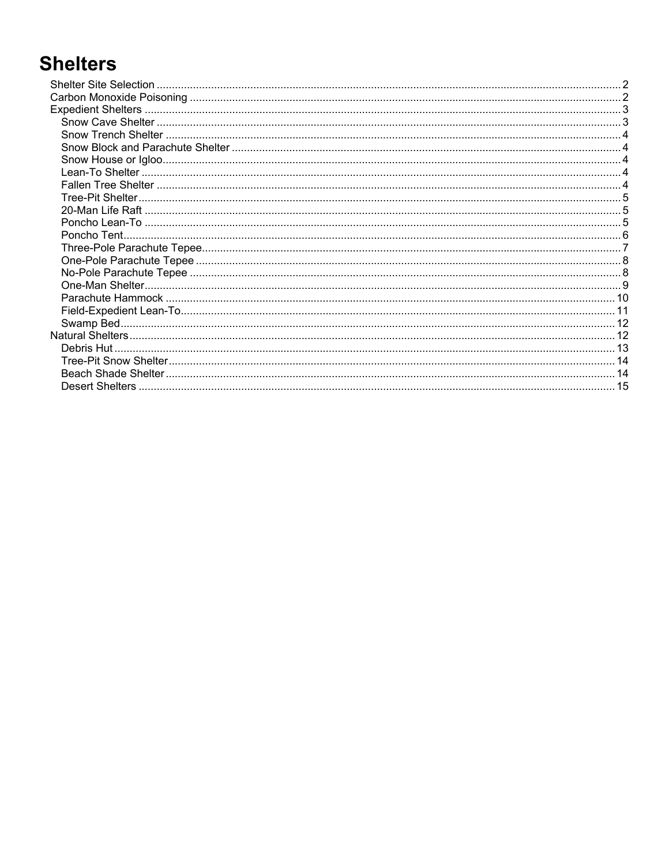# **Shelters**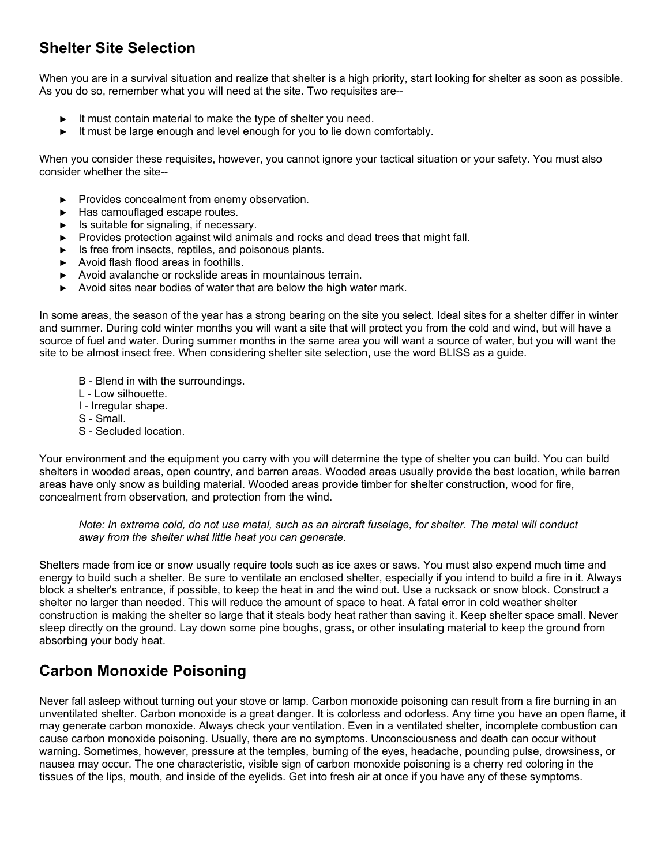# **Shelter Site Selection**

When you are in a survival situation and realize that shelter is a high priority, start looking for shelter as soon as possible. As you do so, remember what you will need at the site. Two requisites are--

- It must contain material to make the type of shelter you need.
- ► It must be large enough and level enough for you to lie down comfortably.

When you consider these requisites, however, you cannot ignore your tactical situation or your safety. You must also consider whether the site--

- Provides concealment from enemy observation.
- Has camouflaged escape routes.
- Is suitable for signaling, if necessary.
- ► Provides protection against wild animals and rocks and dead trees that might fall.
- Is free from insects, reptiles, and poisonous plants.
- ► Avoid flash flood areas in foothills.
- ► Avoid avalanche or rockslide areas in mountainous terrain.
- Avoid sites near bodies of water that are below the high water mark.

In some areas, the season of the year has a strong bearing on the site you select. Ideal sites for a shelter differ in winter and summer. During cold winter months you will want a site that will protect you from the cold and wind, but will have a source of fuel and water. During summer months in the same area you will want a source of water, but you will want the site to be almost insect free. When considering shelter site selection, use the word BLISS as a guide.

- B Blend in with the surroundings.
- L Low silhouette.
- I Irregular shape.
- S Small.
- S Secluded location.

Your environment and the equipment you carry with you will determine the type of shelter you can build. You can build shelters in wooded areas, open country, and barren areas. Wooded areas usually provide the best location, while barren areas have only snow as building material. Wooded areas provide timber for shelter construction, wood for fire, concealment from observation, and protection from the wind.

*Note: In extreme cold, do not use metal, such as an aircraft fuselage, for shelter. The metal will conduct away from the shelter what little heat you can generate.* 

Shelters made from ice or snow usually require tools such as ice axes or saws. You must also expend much time and energy to build such a shelter. Be sure to ventilate an enclosed shelter, especially if you intend to build a fire in it. Always block a shelter's entrance, if possible, to keep the heat in and the wind out. Use a rucksack or snow block. Construct a shelter no larger than needed. This will reduce the amount of space to heat. A fatal error in cold weather shelter construction is making the shelter so large that it steals body heat rather than saving it. Keep shelter space small. Never sleep directly on the ground. Lay down some pine boughs, grass, or other insulating material to keep the ground from absorbing your body heat.

# **Carbon Monoxide Poisoning**

Never fall asleep without turning out your stove or lamp. Carbon monoxide poisoning can result from a fire burning in an unventilated shelter. Carbon monoxide is a great danger. It is colorless and odorless. Any time you have an open flame, it may generate carbon monoxide. Always check your ventilation. Even in a ventilated shelter, incomplete combustion can cause carbon monoxide poisoning. Usually, there are no symptoms. Unconsciousness and death can occur without warning. Sometimes, however, pressure at the temples, burning of the eyes, headache, pounding pulse, drowsiness, or nausea may occur. The one characteristic, visible sign of carbon monoxide poisoning is a cherry red coloring in the tissues of the lips, mouth, and inside of the eyelids. Get into fresh air at once if you have any of these symptoms.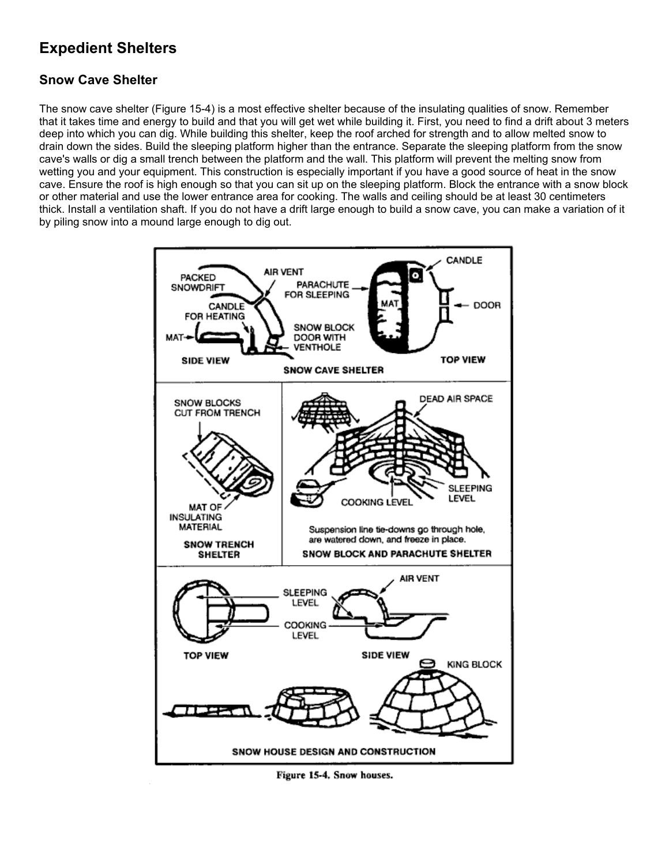# **Expedient Shelters**

## **Snow Cave Shelter**

The snow cave shelter (Figure 15-4) is a most effective shelter because of the insulating qualities of snow. Remember that it takes time and energy to build and that you will get wet while building it. First, you need to find a drift about 3 meters deep into which you can dig. While building this shelter, keep the roof arched for strength and to allow melted snow to drain down the sides. Build the sleeping platform higher than the entrance. Separate the sleeping platform from the snow cave's walls or dig a small trench between the platform and the wall. This platform will prevent the melting snow from wetting you and your equipment. This construction is especially important if you have a good source of heat in the snow cave. Ensure the roof is high enough so that you can sit up on the sleeping platform. Block the entrance with a snow block or other material and use the lower entrance area for cooking. The walls and ceiling should be at least 30 centimeters thick. Install a ventilation shaft. If you do not have a drift large enough to build a snow cave, you can make a variation of it by piling snow into a mound large enough to dig out.



Figure 15-4. Snow houses.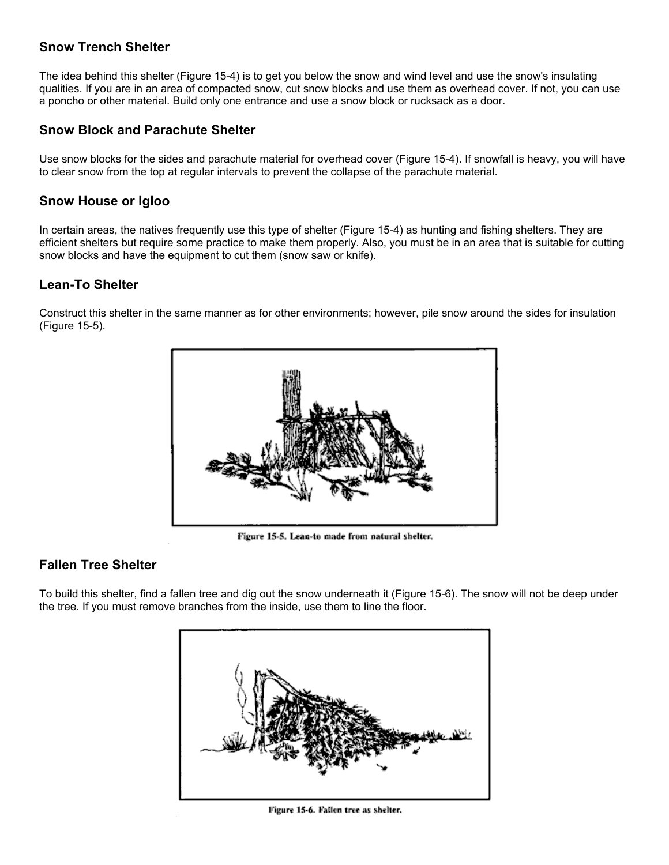#### **Snow Trench Shelter**

The idea behind this shelter (Figure 15-4) is to get you below the snow and wind level and use the snow's insulating qualities. If you are in an area of compacted snow, cut snow blocks and use them as overhead cover. If not, you can use a poncho or other material. Build only one entrance and use a snow block or rucksack as a door.

#### **Snow Block and Parachute Shelter**

Use snow blocks for the sides and parachute material for overhead cover (Figure 15-4). If snowfall is heavy, you will have to clear snow from the top at regular intervals to prevent the collapse of the parachute material.

#### **Snow House or Igloo**

In certain areas, the natives frequently use this type of shelter (Figure 15-4) as hunting and fishing shelters. They are efficient shelters but require some practice to make them properly. Also, you must be in an area that is suitable for cutting snow blocks and have the equipment to cut them (snow saw or knife).

#### **Lean-To Shelter**

Construct this shelter in the same manner as for other environments; however, pile snow around the sides for insulation (Figure 15-5).

![](_page_3_Picture_8.jpeg)

Figure 15-5. Lean-to made from natural shelter.

#### **Fallen Tree Shelter**

To build this shelter, find a fallen tree and dig out the snow underneath it (Figure 15-6). The snow will not be deep under the tree. If you must remove branches from the inside, use them to line the floor.

![](_page_3_Picture_12.jpeg)

Figure 15-6. Fallen tree as shelter.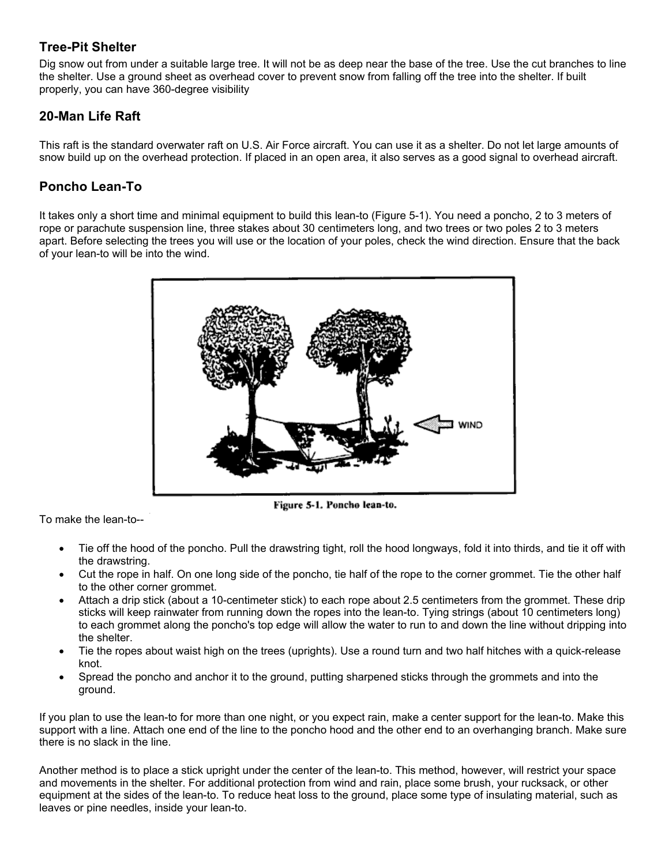#### **Tree-Pit Shelter**

Dig snow out from under a suitable large tree. It will not be as deep near the base of the tree. Use the cut branches to line the shelter. Use a ground sheet as overhead cover to prevent snow from falling off the tree into the shelter. If built properly, you can have 360-degree visibility

#### **20-Man Life Raft**

This raft is the standard overwater raft on U.S. Air Force aircraft. You can use it as a shelter. Do not let large amounts of snow build up on the overhead protection. If placed in an open area, it also serves as a good signal to overhead aircraft.

#### **Poncho Lean-To**

It takes only a short time and minimal equipment to build this lean-to (Figure 5-1). You need a poncho, 2 to 3 meters of rope or parachute suspension line, three stakes about 30 centimeters long, and two trees or two poles 2 to 3 meters apart. Before selecting the trees you will use or the location of your poles, check the wind direction. Ensure that the back of your lean-to will be into the wind.

![](_page_4_Figure_6.jpeg)

Figure 5-1. Poncho lean-to.

To make the lean-to--

- Tie off the hood of the poncho. Pull the drawstring tight, roll the hood longways, fold it into thirds, and tie it off with the drawstring.
- Cut the rope in half. On one long side of the poncho, tie half of the rope to the corner grommet. Tie the other half to the other corner grommet.
- Attach a drip stick (about a 10-centimeter stick) to each rope about 2.5 centimeters from the grommet. These drip sticks will keep rainwater from running down the ropes into the lean-to. Tying strings (about 10 centimeters long) to each grommet along the poncho's top edge will allow the water to run to and down the line without dripping into the shelter.
- Tie the ropes about waist high on the trees (uprights). Use a round turn and two half hitches with a quick-release knot.
- Spread the poncho and anchor it to the ground, putting sharpened sticks through the grommets and into the ground.

If you plan to use the lean-to for more than one night, or you expect rain, make a center support for the lean-to. Make this support with a line. Attach one end of the line to the poncho hood and the other end to an overhanging branch. Make sure there is no slack in the line.

Another method is to place a stick upright under the center of the lean-to. This method, however, will restrict your space and movements in the shelter. For additional protection from wind and rain, place some brush, your rucksack, or other equipment at the sides of the lean-to. To reduce heat loss to the ground, place some type of insulating material, such as leaves or pine needles, inside your lean-to.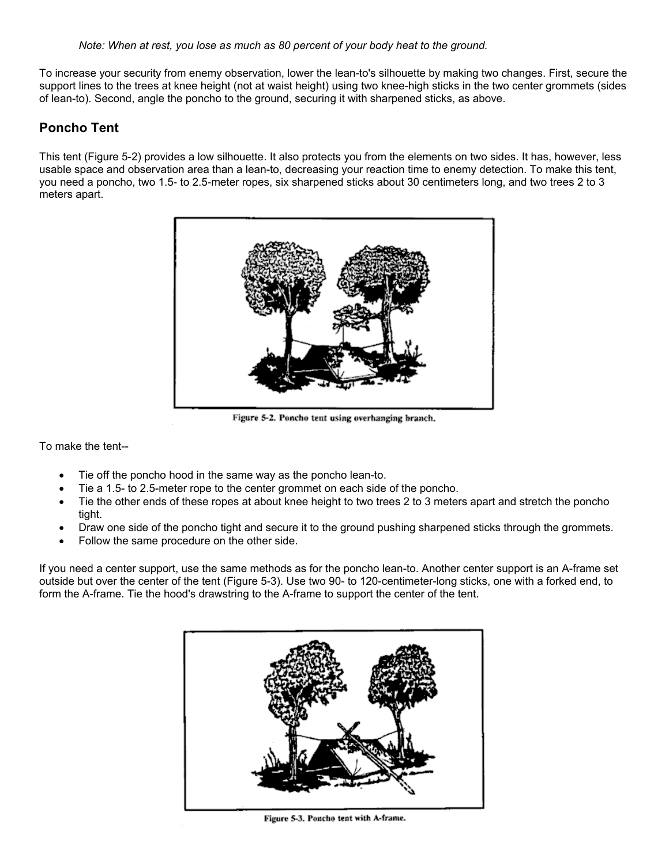*Note: When at rest, you lose as much as 80 percent of your body heat to the ground.* 

To increase your security from enemy observation, lower the lean-to's silhouette by making two changes. First, secure the support lines to the trees at knee height (not at waist height) using two knee-high sticks in the two center grommets (sides of lean-to). Second, angle the poncho to the ground, securing it with sharpened sticks, as above.

#### **Poncho Tent**

This tent (Figure 5-2) provides a low silhouette. It also protects you from the elements on two sides. It has, however, less usable space and observation area than a lean-to, decreasing your reaction time to enemy detection. To make this tent, you need a poncho, two 1.5- to 2.5-meter ropes, six sharpened sticks about 30 centimeters long, and two trees 2 to 3 meters apart.

![](_page_5_Figure_4.jpeg)

Figure 5-2. Poncho tent using overhanging branch.

To make the tent--

- Tie off the poncho hood in the same way as the poncho lean-to.
- Tie a 1.5- to 2.5-meter rope to the center grommet on each side of the poncho.
- Tie the other ends of these ropes at about knee height to two trees 2 to 3 meters apart and stretch the poncho tight.
- Draw one side of the poncho tight and secure it to the ground pushing sharpened sticks through the grommets.
- Follow the same procedure on the other side.

If you need a center support, use the same methods as for the poncho lean-to. Another center support is an A-frame set outside but over the center of the tent (Figure 5-3). Use two 90- to 120-centimeter-long sticks, one with a forked end, to form the A-frame. Tie the hood's drawstring to the A-frame to support the center of the tent.

![](_page_5_Figure_13.jpeg)

Figure 5-3. Poncho tent with A-frame.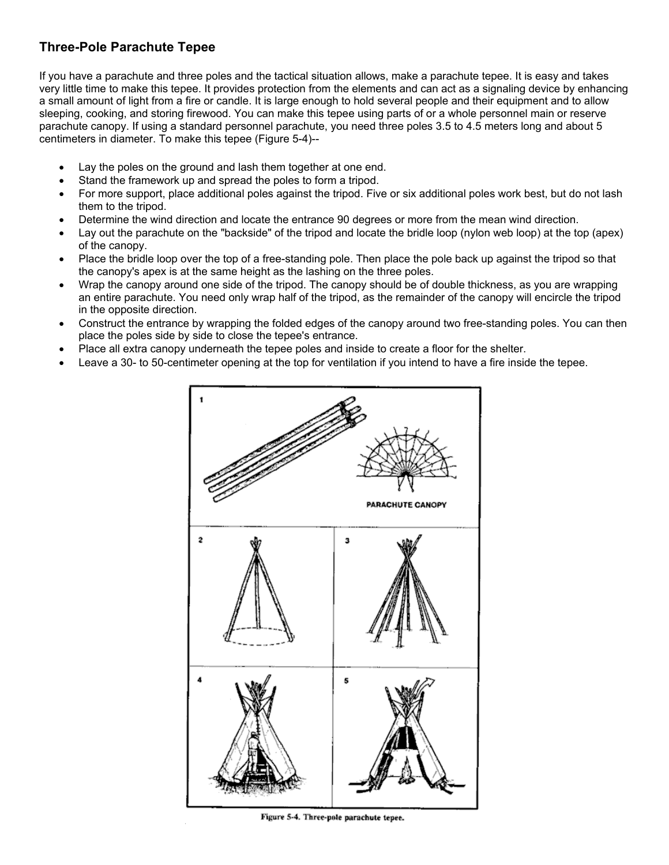## **Three-Pole Parachute Tepee**

If you have a parachute and three poles and the tactical situation allows, make a parachute tepee. It is easy and takes very little time to make this tepee. It provides protection from the elements and can act as a signaling device by enhancing a small amount of light from a fire or candle. It is large enough to hold several people and their equipment and to allow sleeping, cooking, and storing firewood. You can make this tepee using parts of or a whole personnel main or reserve parachute canopy. If using a standard personnel parachute, you need three poles 3.5 to 4.5 meters long and about 5 centimeters in diameter. To make this tepee (Figure 5-4)--

- Lay the poles on the ground and lash them together at one end.
- Stand the framework up and spread the poles to form a tripod.
- For more support, place additional poles against the tripod. Five or six additional poles work best, but do not lash them to the tripod.
- Determine the wind direction and locate the entrance 90 degrees or more from the mean wind direction.
- Lay out the parachute on the "backside" of the tripod and locate the bridle loop (nylon web loop) at the top (apex) of the canopy.
- Place the bridle loop over the top of a free-standing pole. Then place the pole back up against the tripod so that the canopy's apex is at the same height as the lashing on the three poles.
- Wrap the canopy around one side of the tripod. The canopy should be of double thickness, as you are wrapping an entire parachute. You need only wrap half of the tripod, as the remainder of the canopy will encircle the tripod in the opposite direction.
- Construct the entrance by wrapping the folded edges of the canopy around two free-standing poles. You can then place the poles side by side to close the tepee's entrance.
- Place all extra canopy underneath the tepee poles and inside to create a floor for the shelter.
- Leave a 30- to 50-centimeter opening at the top for ventilation if you intend to have a fire inside the tepee.

![](_page_6_Figure_12.jpeg)

Figure 5-4. Three-pole parachute tepee.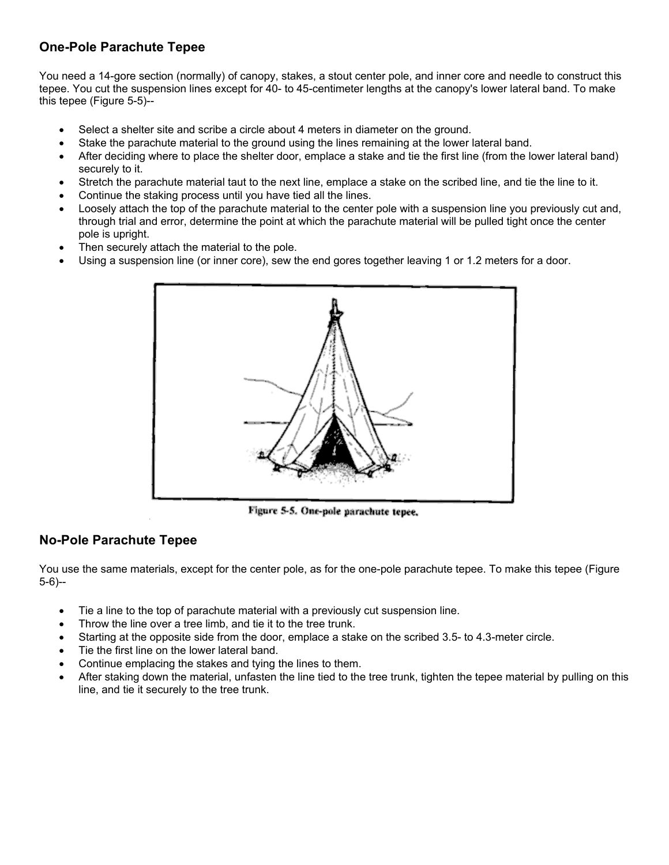# **One-Pole Parachute Tepee**

You need a 14-gore section (normally) of canopy, stakes, a stout center pole, and inner core and needle to construct this tepee. You cut the suspension lines except for 40- to 45-centimeter lengths at the canopy's lower lateral band. To make this tepee (Figure 5-5)--

- Select a shelter site and scribe a circle about 4 meters in diameter on the ground.
- Stake the parachute material to the ground using the lines remaining at the lower lateral band.
- After deciding where to place the shelter door, emplace a stake and tie the first line (from the lower lateral band) securely to it.
- Stretch the parachute material taut to the next line, emplace a stake on the scribed line, and tie the line to it.
- Continue the staking process until you have tied all the lines.
- Loosely attach the top of the parachute material to the center pole with a suspension line you previously cut and, through trial and error, determine the point at which the parachute material will be pulled tight once the center pole is upright.
- Then securely attach the material to the pole.
- Using a suspension line (or inner core), sew the end gores together leaving 1 or 1.2 meters for a door.

![](_page_7_Figure_10.jpeg)

Figure 5-5. One-pole parachute tepee.

#### **No-Pole Parachute Tepee**

You use the same materials, except for the center pole, as for the one-pole parachute tepee. To make this tepee (Figure 5-6)--

- Tie a line to the top of parachute material with a previously cut suspension line.
- Throw the line over a tree limb, and tie it to the tree trunk.
- Starting at the opposite side from the door, emplace a stake on the scribed 3.5- to 4.3-meter circle.
- Tie the first line on the lower lateral band.
- Continue emplacing the stakes and tying the lines to them.
- After staking down the material, unfasten the line tied to the tree trunk, tighten the tepee material by pulling on this line, and tie it securely to the tree trunk.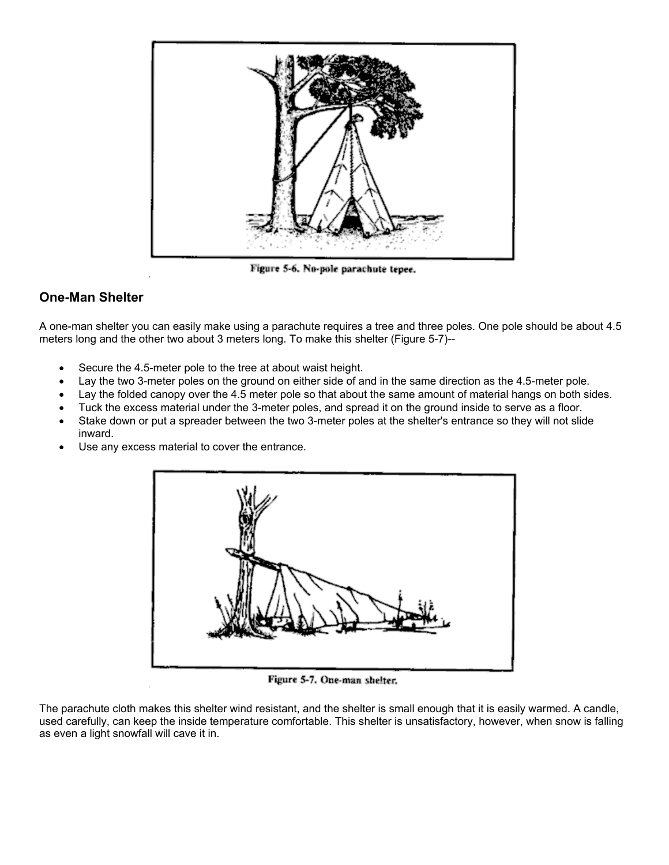![](_page_8_Figure_0.jpeg)

Figure 5-6. No-pole parachute tepee.

#### **One-Man Shelter**

A one-man shelter you can easily make using a parachute requires a tree and three poles. One pole should be about 4.5 meters long and the other two about 3 meters long. To make this shelter (Figure 5-7)--

- Secure the 4.5-meter pole to the tree at about waist height.
- Lay the two 3-meter poles on the ground on either side of and in the same direction as the 4.5-meter pole.
- Lay the folded canopy over the 4.5 meter pole so that about the same amount of material hangs on both sides.
- Tuck the excess material under the 3-meter poles, and spread it on the ground inside to serve as a floor.
- Stake down or put a spreader between the two 3-meter poles at the shelter's entrance so they will not slide inward.
- Use any excess material to cover the entrance.

![](_page_8_Figure_10.jpeg)

Figure 5-7. One-man shelter.

The parachute cloth makes this shelter wind resistant, and the shelter is small enough that it is easily warmed. A candle, used carefully, can keep the inside temperature comfortable. This shelter is unsatisfactory, however, when snow is falling as even a light snowfall will cave it in.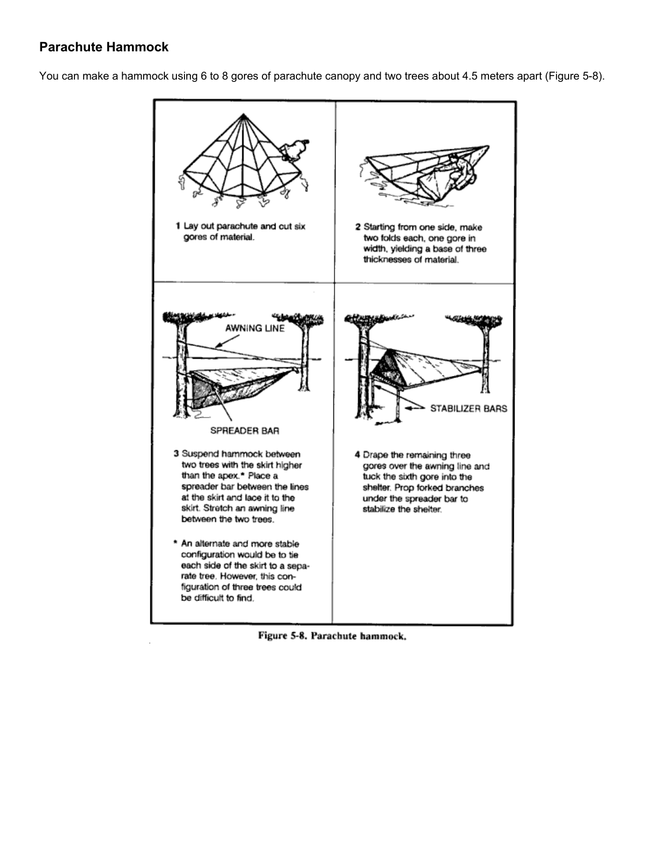# **Parachute Hammock**

You can make a hammock using 6 to 8 gores of parachute canopy and two trees about 4.5 meters apart (Figure 5-8).

![](_page_9_Figure_2.jpeg)

Figure 5-8. Parachute hammock.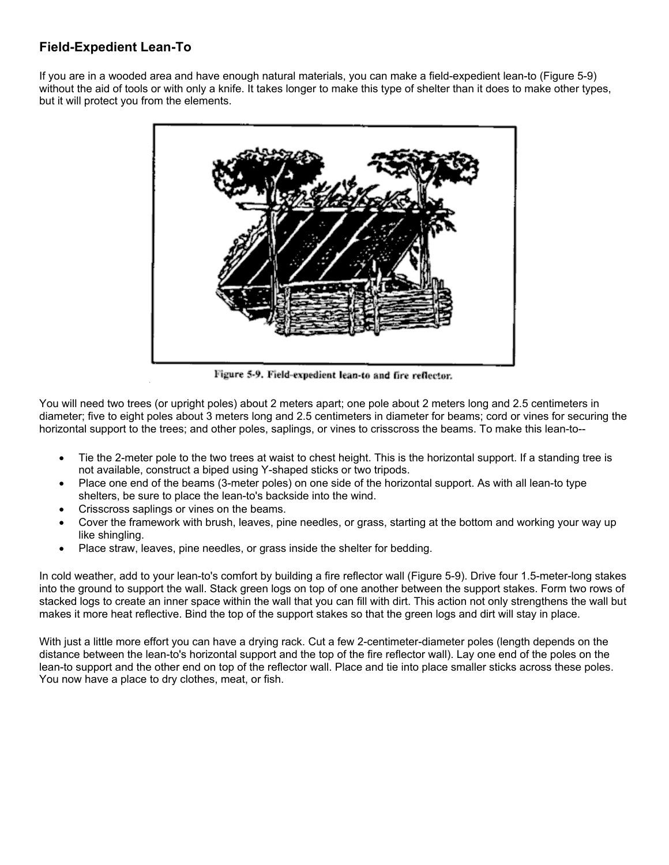# **Field-Expedient Lean-To**

If you are in a wooded area and have enough natural materials, you can make a field-expedient lean-to (Figure 5-9) without the aid of tools or with only a knife. It takes longer to make this type of shelter than it does to make other types, but it will protect you from the elements.

![](_page_10_Picture_2.jpeg)

Figure 5-9. Field-expedient lean-to and fire reflector.

You will need two trees (or upright poles) about 2 meters apart; one pole about 2 meters long and 2.5 centimeters in diameter; five to eight poles about 3 meters long and 2.5 centimeters in diameter for beams; cord or vines for securing the horizontal support to the trees; and other poles, saplings, or vines to crisscross the beams. To make this lean-to--

- Tie the 2-meter pole to the two trees at waist to chest height. This is the horizontal support. If a standing tree is not available, construct a biped using Y-shaped sticks or two tripods.
- Place one end of the beams (3-meter poles) on one side of the horizontal support. As with all lean-to type shelters, be sure to place the lean-to's backside into the wind.
- Crisscross saplings or vines on the beams.
- Cover the framework with brush, leaves, pine needles, or grass, starting at the bottom and working your way up like shingling.
- Place straw, leaves, pine needles, or grass inside the shelter for bedding.

In cold weather, add to your lean-to's comfort by building a fire reflector wall (Figure 5-9). Drive four 1.5-meter-long stakes into the ground to support the wall. Stack green logs on top of one another between the support stakes. Form two rows of stacked logs to create an inner space within the wall that you can fill with dirt. This action not only strengthens the wall but makes it more heat reflective. Bind the top of the support stakes so that the green logs and dirt will stay in place.

With just a little more effort you can have a drying rack. Cut a few 2-centimeter-diameter poles (length depends on the distance between the lean-to's horizontal support and the top of the fire reflector wall). Lay one end of the poles on the lean-to support and the other end on top of the reflector wall. Place and tie into place smaller sticks across these poles. You now have a place to dry clothes, meat, or fish.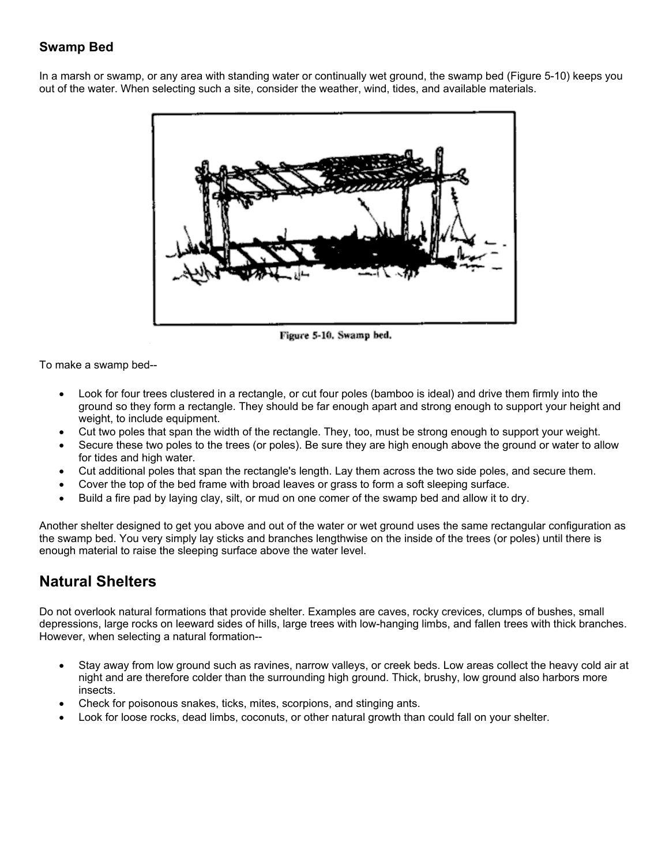# **Swamp Bed**

In a marsh or swamp, or any area with standing water or continually wet ground, the swamp bed (Figure 5-10) keeps you out of the water. When selecting such a site, consider the weather, wind, tides, and available materials.

![](_page_11_Picture_2.jpeg)

Figure 5-10. Swamp bed.

To make a swamp bed--

- Look for four trees clustered in a rectangle, or cut four poles (bamboo is ideal) and drive them firmly into the ground so they form a rectangle. They should be far enough apart and strong enough to support your height and weight, to include equipment.
- Cut two poles that span the width of the rectangle. They, too, must be strong enough to support your weight.
- Secure these two poles to the trees (or poles). Be sure they are high enough above the ground or water to allow for tides and high water.
- Cut additional poles that span the rectangle's length. Lay them across the two side poles, and secure them.
- Cover the top of the bed frame with broad leaves or grass to form a soft sleeping surface.
- Build a fire pad by laying clay, silt, or mud on one comer of the swamp bed and allow it to dry.

Another shelter designed to get you above and out of the water or wet ground uses the same rectangular configuration as the swamp bed. You very simply lay sticks and branches lengthwise on the inside of the trees (or poles) until there is enough material to raise the sleeping surface above the water level.

# **Natural Shelters**

Do not overlook natural formations that provide shelter. Examples are caves, rocky crevices, clumps of bushes, small depressions, large rocks on leeward sides of hills, large trees with low-hanging limbs, and fallen trees with thick branches. However, when selecting a natural formation--

- Stay away from low ground such as ravines, narrow valleys, or creek beds. Low areas collect the heavy cold air at night and are therefore colder than the surrounding high ground. Thick, brushy, low ground also harbors more insects.
- Check for poisonous snakes, ticks, mites, scorpions, and stinging ants.
- Look for loose rocks, dead limbs, coconuts, or other natural growth than could fall on your shelter.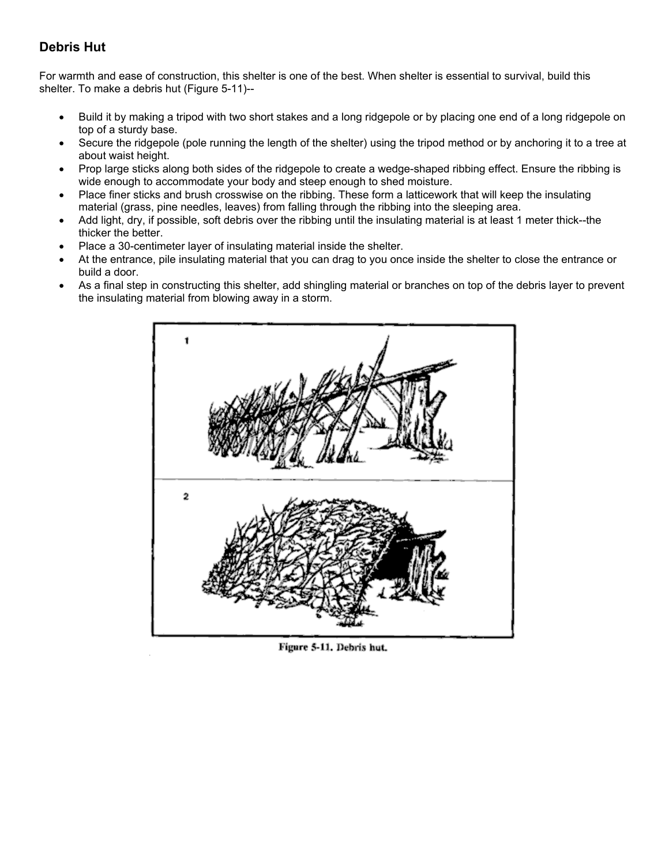# **Debris Hut**

For warmth and ease of construction, this shelter is one of the best. When shelter is essential to survival, build this shelter. To make a debris hut (Figure 5-11)--

- Build it by making a tripod with two short stakes and a long ridgepole or by placing one end of a long ridgepole on top of a sturdy base.
- Secure the ridgepole (pole running the length of the shelter) using the tripod method or by anchoring it to a tree at about waist height.
- Prop large sticks along both sides of the ridgepole to create a wedge-shaped ribbing effect. Ensure the ribbing is wide enough to accommodate your body and steep enough to shed moisture.
- Place finer sticks and brush crosswise on the ribbing. These form a latticework that will keep the insulating material (grass, pine needles, leaves) from falling through the ribbing into the sleeping area.
- Add light, dry, if possible, soft debris over the ribbing until the insulating material is at least 1 meter thick--the thicker the better.
- Place a 30-centimeter layer of insulating material inside the shelter.
- At the entrance, pile insulating material that you can drag to you once inside the shelter to close the entrance or build a door.
- As a final step in constructing this shelter, add shingling material or branches on top of the debris layer to prevent the insulating material from blowing away in a storm.

![](_page_12_Picture_10.jpeg)

Figure 5-11. Debris hut.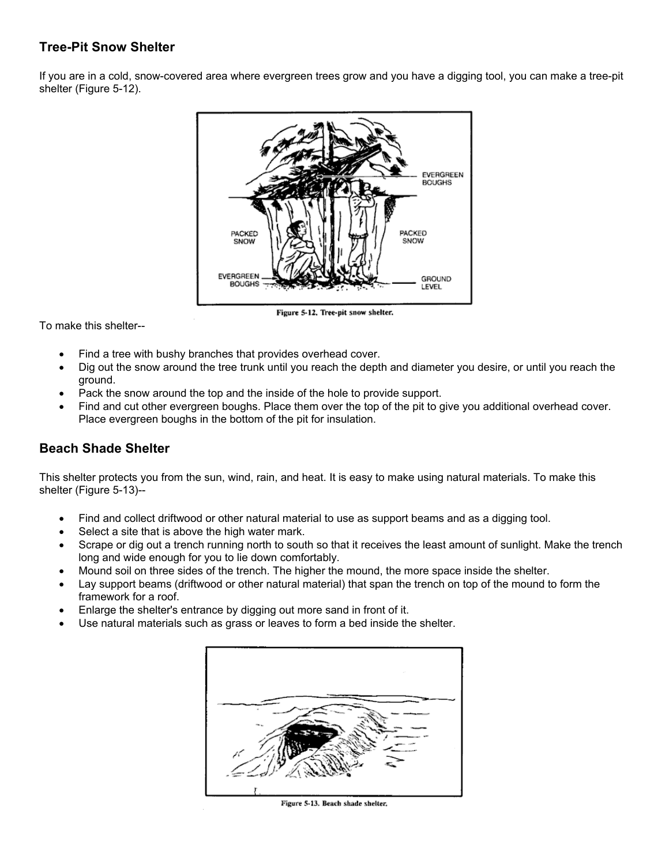# **Tree-Pit Snow Shelter**

If you are in a cold, snow-covered area where evergreen trees grow and you have a digging tool, you can make a tree-pit shelter (Figure 5-12).

![](_page_13_Figure_2.jpeg)

Figure 5-12. Tree-pit snow shelter.

To make this shelter--

- Find a tree with bushy branches that provides overhead cover.
- Dig out the snow around the tree trunk until you reach the depth and diameter you desire, or until you reach the ground.
- Pack the snow around the top and the inside of the hole to provide support.
- Find and cut other evergreen boughs. Place them over the top of the pit to give you additional overhead cover. Place evergreen boughs in the bottom of the pit for insulation.

#### **Beach Shade Shelter**

This shelter protects you from the sun, wind, rain, and heat. It is easy to make using natural materials. To make this shelter (Figure 5-13)--

- Find and collect driftwood or other natural material to use as support beams and as a digging tool.
- Select a site that is above the high water mark.
- Scrape or dig out a trench running north to south so that it receives the least amount of sunlight. Make the trench long and wide enough for you to lie down comfortably.
- Mound soil on three sides of the trench. The higher the mound, the more space inside the shelter.
- Lay support beams (driftwood or other natural material) that span the trench on top of the mound to form the framework for a roof.
- Enlarge the shelter's entrance by digging out more sand in front of it.
- Use natural materials such as grass or leaves to form a bed inside the shelter.

![](_page_13_Figure_18.jpeg)

Figure 5-13. Beach shade shelter.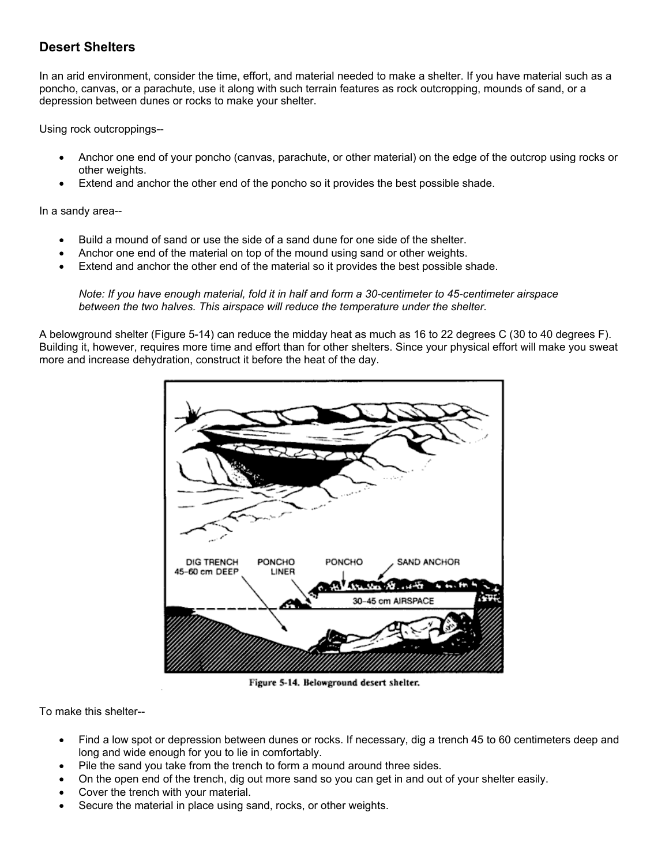## **Desert Shelters**

In an arid environment, consider the time, effort, and material needed to make a shelter. If you have material such as a poncho, canvas, or a parachute, use it along with such terrain features as rock outcropping, mounds of sand, or a depression between dunes or rocks to make your shelter.

Using rock outcroppings--

- Anchor one end of your poncho (canvas, parachute, or other material) on the edge of the outcrop using rocks or other weights.
- Extend and anchor the other end of the poncho so it provides the best possible shade.

In a sandy area--

- Build a mound of sand or use the side of a sand dune for one side of the shelter.
- Anchor one end of the material on top of the mound using sand or other weights.
- Extend and anchor the other end of the material so it provides the best possible shade.

*Note: If you have enough material, fold it in half and form a 30-centimeter to 45-centimeter airspace between the two halves. This airspace will reduce the temperature under the shelter.* 

A belowground shelter (Figure 5-14) can reduce the midday heat as much as 16 to 22 degrees C (30 to 40 degrees F). Building it, however, requires more time and effort than for other shelters. Since your physical effort will make you sweat more and increase dehydration, construct it before the heat of the day.

![](_page_14_Figure_11.jpeg)

Figure 5-14. Belowground desert shelter.

To make this shelter--

- Find a low spot or depression between dunes or rocks. If necessary, dig a trench 45 to 60 centimeters deep and long and wide enough for you to lie in comfortably.
- Pile the sand you take from the trench to form a mound around three sides.
- On the open end of the trench, dig out more sand so you can get in and out of your shelter easily.
- Cover the trench with your material.
- Secure the material in place using sand, rocks, or other weights.